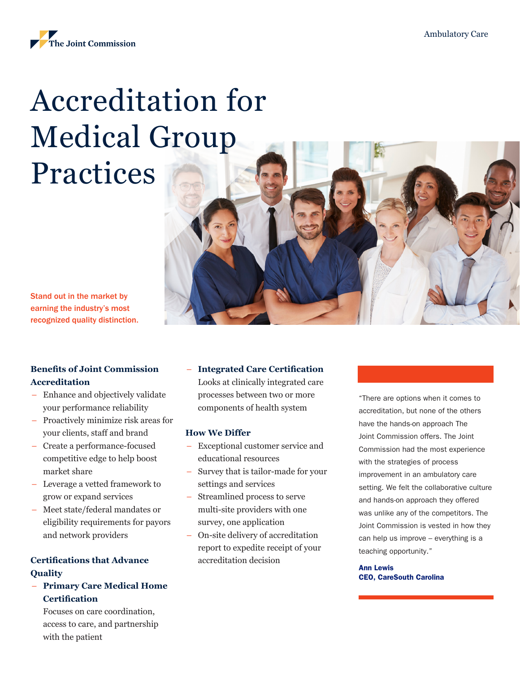

# Accreditation for Medical Group Practices

Stand out in the market by earning the industry's most recognized quality distinction.

# **Benefits of Joint Commission Accreditation**

- Enhance and objectively validate your performance reliability
- Proactively minimize risk areas for your clients, staff and brand
- Create a performance-focused competitive edge to help boost market share
- Leverage a vetted framework to grow or expand services
- Meet state/federal mandates or eligibility requirements for payors and network providers

# **Certifications that Advance Quality**

– **Primary Care Medical Home Certification**

Focuses on care coordination, access to care, and partnership with the patient

## – **Integrated Care Certification**

Looks at clinically integrated care processes between two or more components of health system

## **How We Differ**

- Exceptional customer service and educational resources
- Survey that is tailor-made for your settings and services
- Streamlined process to serve multi-site providers with one survey, one application
- On-site delivery of accreditation report to expedite receipt of your accreditation decision

"There are options when it comes to accreditation, but none of the others have the hands-on approach The Joint Commission offers. The Joint Commission had the most experience with the strategies of process improvement in an ambulatory care setting. We felt the collaborative culture and hands-on approach they offered was unlike any of the competitors. The Joint Commission is vested in how they can help us improve – everything is a teaching opportunity."

Ann Lewis CEO, CareSouth Carolina